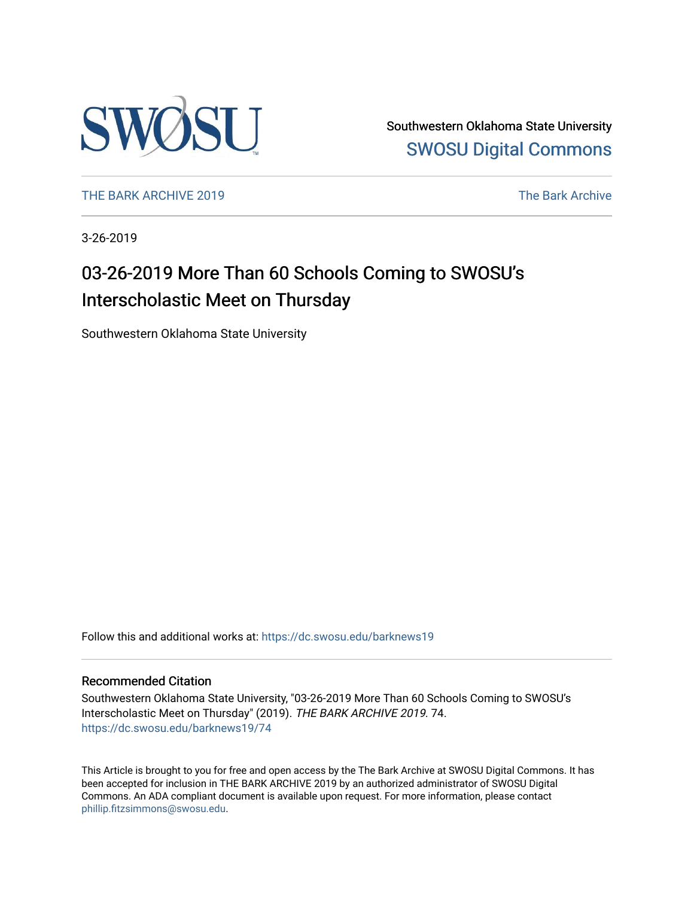

Southwestern Oklahoma State University [SWOSU Digital Commons](https://dc.swosu.edu/) 

[THE BARK ARCHIVE 2019](https://dc.swosu.edu/barknews19) The Bark Archive

3-26-2019

# 03-26-2019 More Than 60 Schools Coming to SWOSU's Interscholastic Meet on Thursday

Southwestern Oklahoma State University

Follow this and additional works at: [https://dc.swosu.edu/barknews19](https://dc.swosu.edu/barknews19?utm_source=dc.swosu.edu%2Fbarknews19%2F74&utm_medium=PDF&utm_campaign=PDFCoverPages)

#### Recommended Citation

Southwestern Oklahoma State University, "03-26-2019 More Than 60 Schools Coming to SWOSU's Interscholastic Meet on Thursday" (2019). THE BARK ARCHIVE 2019. 74. [https://dc.swosu.edu/barknews19/74](https://dc.swosu.edu/barknews19/74?utm_source=dc.swosu.edu%2Fbarknews19%2F74&utm_medium=PDF&utm_campaign=PDFCoverPages) 

This Article is brought to you for free and open access by the The Bark Archive at SWOSU Digital Commons. It has been accepted for inclusion in THE BARK ARCHIVE 2019 by an authorized administrator of SWOSU Digital Commons. An ADA compliant document is available upon request. For more information, please contact [phillip.fitzsimmons@swosu.edu](mailto:phillip.fitzsimmons@swosu.edu).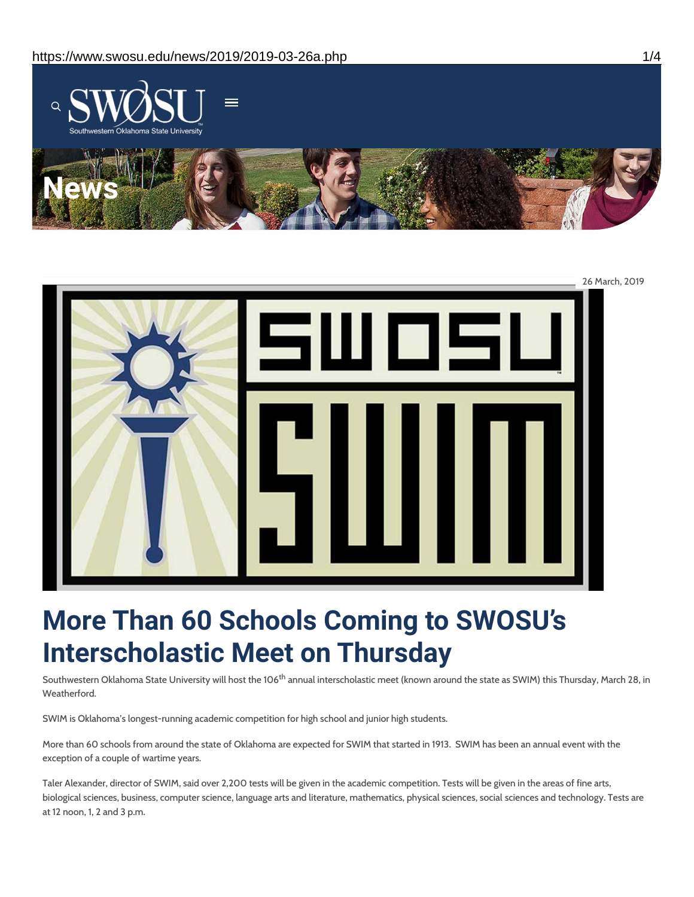



# **More Than 60 Schools Coming to SWOSU's Interscholastic Meet on Thursday**

Southwestern Oklahoma State University will host the 106<sup>th</sup> annual interscholastic meet (known around the state as SWIM) this Thursday, March 28, in Weatherford.

SWIM is Oklahoma's longest-running academic competition for high school and junior high students.

More than 60 schools from around the state of Oklahoma are expected for SWIM that started in 1913. SWIM has been an annual event with the exception of a couple of wartime years.

Taler Alexander, director of SWIM, said over 2,200 tests will be given in the academic competition. Tests will be given in the areas of fine arts, biological sciences, business, computer science, language arts and literature, mathematics, physical sciences, social sciences and technology. Tests are at 12 noon, 1, 2 and 3 p.m.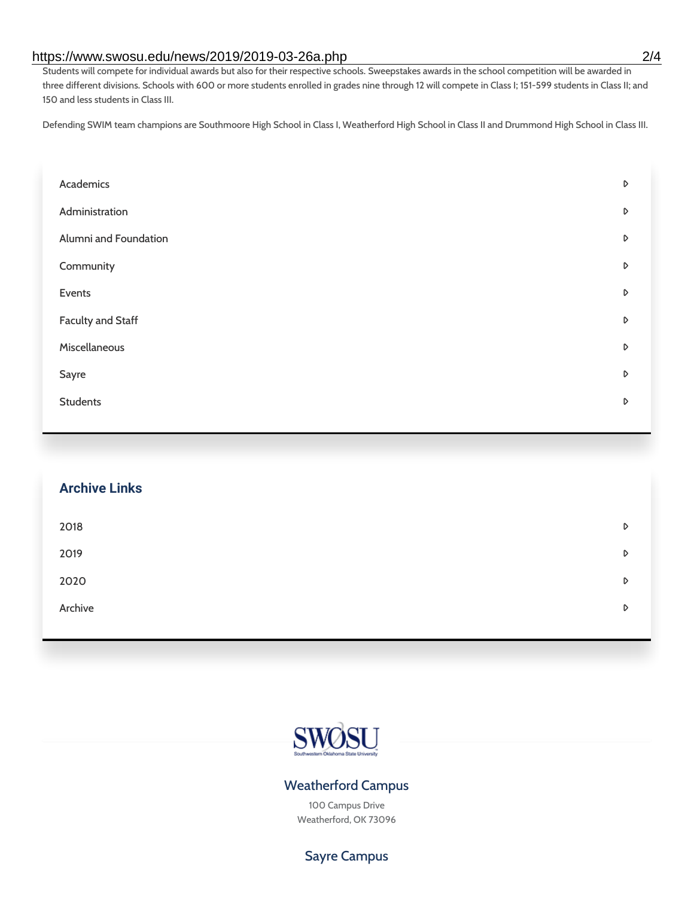#### https://www.swosu.edu/news/2019/2019-03-26a.php 2/4

Students will compete for individual awards but also for their respective schools. Sweepstakes awards in the school competition will be awarded in three different divisions. Schools with 600 or more students enrolled in grades nine through 12 will compete in Class I; 151-599 students in Class II; and 150 and less students in Class III.

Defending SWIM team champions are Southmoore High School in Class I, Weatherford High School in Class II and Drummond High School in Class III.

| Academics             | D |
|-----------------------|---|
| Administration        | D |
| Alumni and Foundation | D |
| Community             | D |
| Events                | D |
| Faculty and Staff     | D |
| Miscellaneous         | D |
| Sayre                 | D |
| <b>Students</b>       | D |
|                       |   |

| <b>Archive Links</b> |   |
|----------------------|---|
| 2018                 | D |
| 2019                 | D |
| 2020                 | D |
| Archive              | D |



### Weatherford Campus

100 Campus Drive Weatherford, OK 73096

Sayre Campus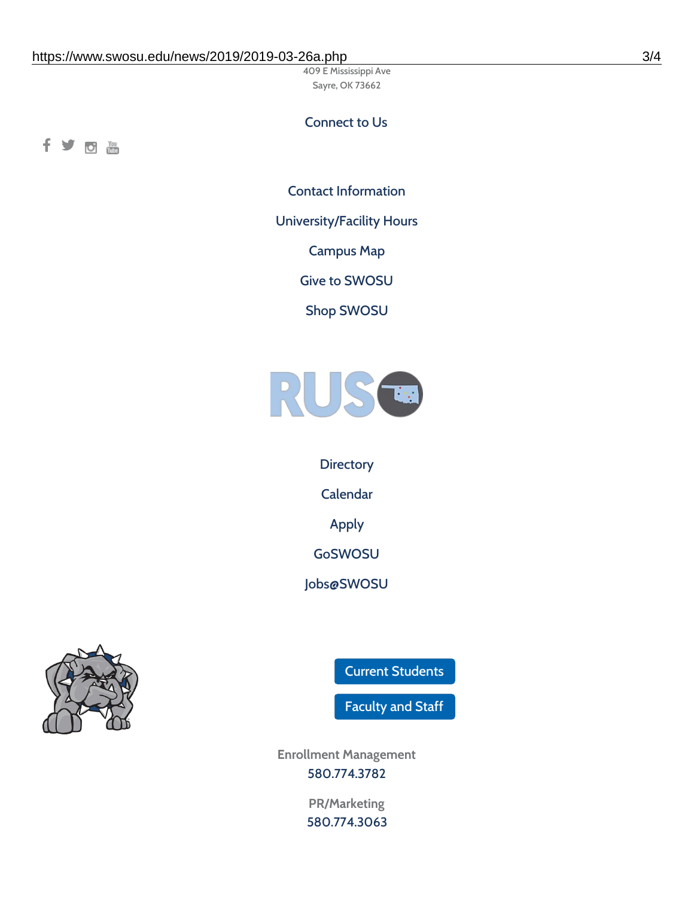409 E Mississippi Ave Sayre, OK 73662

## Connect to Us

fyom

Contact [Information](https://www.swosu.edu/about/contact.php)

[University/Facility](https://www.swosu.edu/about/operating-hours.php) Hours

[Campus](https://map.concept3d.com/?id=768#!ct/10964,10214,10213,10212,10205,10204,10203,10202,10136,10129,10128,0,31226,10130,10201,10641,0) Map

Give to [SWOSU](https://standingfirmly.com/donate)

Shop [SWOSU](https://shopswosu.merchorders.com/)



**[Directory](https://www.swosu.edu/directory/index.php)** [Calendar](https://eventpublisher.dudesolutions.com/swosu/) [Apply](https://www.swosu.edu/admissions/apply-to-swosu.php) [GoSWOSU](https://qlsso.quicklaunchsso.com/home/1267) [Jobs@SWOSU](https://swosu.csod.com/ux/ats/careersite/1/home?c=swosu)



Current [Students](https://bulldog.swosu.edu/index.php)

[Faculty](https://bulldog.swosu.edu/faculty-staff/index.php) and Staff

**Enrollment Management** [580.774.3782](tel:5807743782)

> **PR/Marketing** [580.774.3063](tel:5807743063)